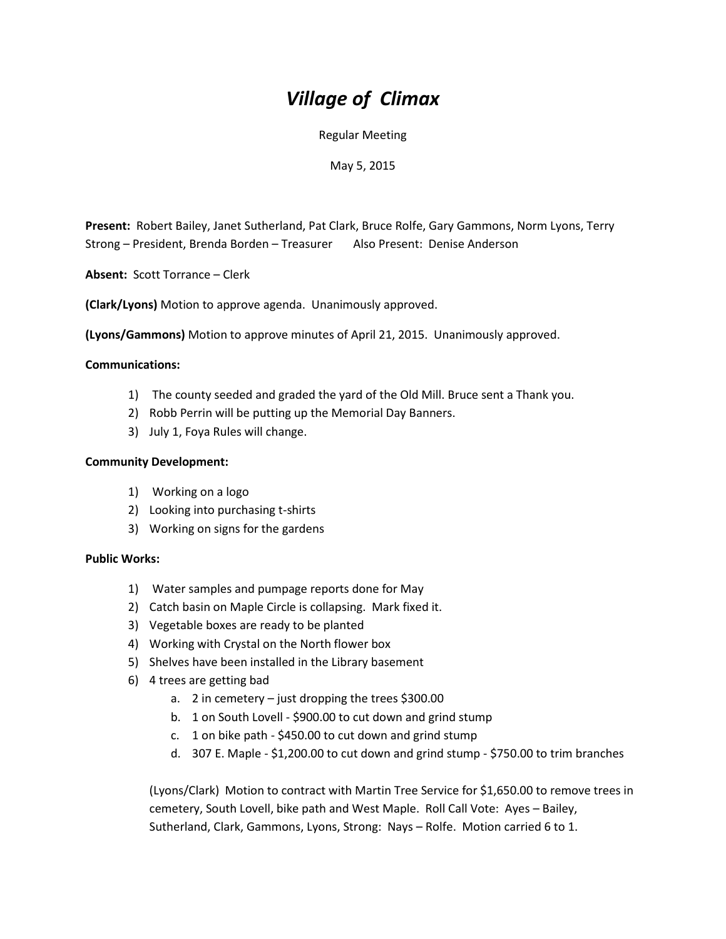# *Village of Climax*

Regular Meeting

May 5, 2015

**Present:** Robert Bailey, Janet Sutherland, Pat Clark, Bruce Rolfe, Gary Gammons, Norm Lyons, Terry Strong – President, Brenda Borden – Treasurer Also Present: Denise Anderson

**Absent:** Scott Torrance – Clerk

**(Clark/Lyons)** Motion to approve agenda. Unanimously approved.

**(Lyons/Gammons)** Motion to approve minutes of April 21, 2015. Unanimously approved.

#### **Communications:**

- 1) The county seeded and graded the yard of the Old Mill. Bruce sent a Thank you.
- 2) Robb Perrin will be putting up the Memorial Day Banners.
- 3) July 1, Foya Rules will change.

#### **Community Development:**

- 1) Working on a logo
- 2) Looking into purchasing t-shirts
- 3) Working on signs for the gardens

## **Public Works:**

- 1) Water samples and pumpage reports done for May
- 2) Catch basin on Maple Circle is collapsing. Mark fixed it.
- 3) Vegetable boxes are ready to be planted
- 4) Working with Crystal on the North flower box
- 5) Shelves have been installed in the Library basement
- 6) 4 trees are getting bad
	- a. 2 in cemetery just dropping the trees \$300.00
	- b. 1 on South Lovell \$900.00 to cut down and grind stump
	- c. 1 on bike path \$450.00 to cut down and grind stump
	- d. 307 E. Maple \$1,200.00 to cut down and grind stump \$750.00 to trim branches

(Lyons/Clark) Motion to contract with Martin Tree Service for \$1,650.00 to remove trees in cemetery, South Lovell, bike path and West Maple. Roll Call Vote: Ayes – Bailey, Sutherland, Clark, Gammons, Lyons, Strong: Nays – Rolfe. Motion carried 6 to 1.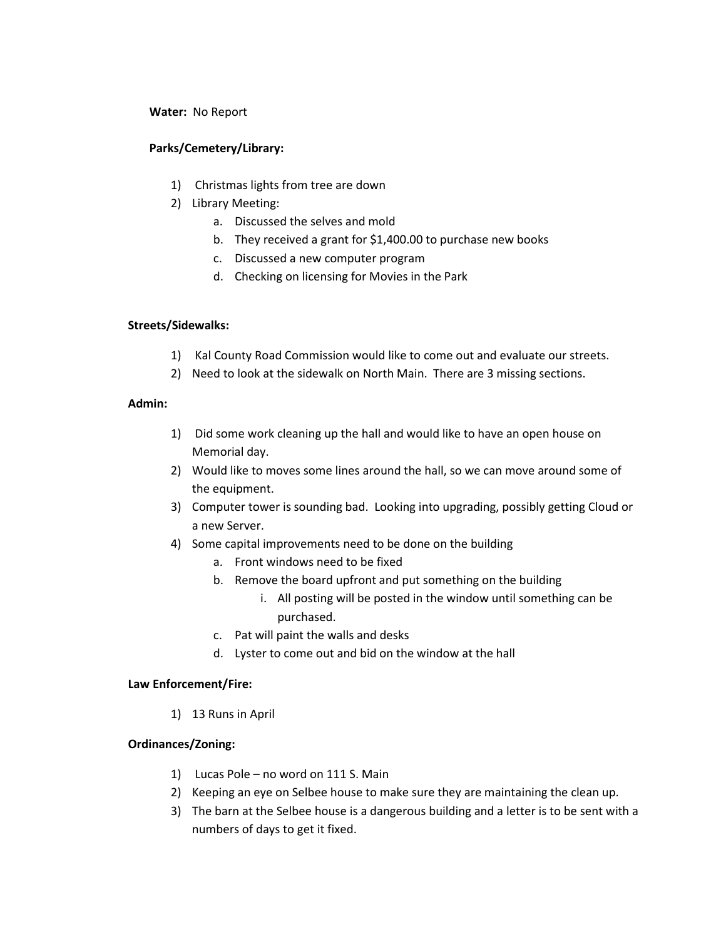#### **Water:** No Report

## **Parks/Cemetery/Library:**

- 1) Christmas lights from tree are down
- 2) Library Meeting:
	- a. Discussed the selves and mold
	- b. They received a grant for \$1,400.00 to purchase new books
	- c. Discussed a new computer program
	- d. Checking on licensing for Movies in the Park

## **Streets/Sidewalks:**

- 1) Kal County Road Commission would like to come out and evaluate our streets.
- 2) Need to look at the sidewalk on North Main. There are 3 missing sections.

## **Admin:**

- 1) Did some work cleaning up the hall and would like to have an open house on Memorial day.
- 2) Would like to moves some lines around the hall, so we can move around some of the equipment.
- 3) Computer tower is sounding bad. Looking into upgrading, possibly getting Cloud or a new Server.
- 4) Some capital improvements need to be done on the building
	- a. Front windows need to be fixed
	- b. Remove the board upfront and put something on the building
		- i. All posting will be posted in the window until something can be purchased.
	- c. Pat will paint the walls and desks
	- d. Lyster to come out and bid on the window at the hall

## **Law Enforcement/Fire:**

1) 13 Runs in April

## **Ordinances/Zoning:**

- 1) Lucas Pole no word on 111 S. Main
- 2) Keeping an eye on Selbee house to make sure they are maintaining the clean up.
- 3) The barn at the Selbee house is a dangerous building and a letter is to be sent with a numbers of days to get it fixed.